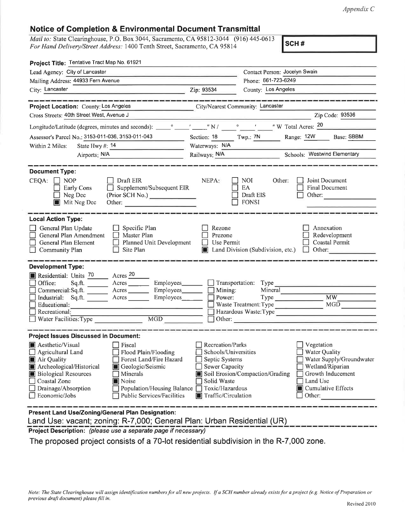Appendix C

## Notice of Gompletion & Environmental Document Transmittal

Mail to: State Clearinghouse, P.O. Box 3044, Sacramento, CA 95812-3044 (916) 445-0613 For Hand Delivery/Street Address: 1400 Tenth Street, Sacramento, CA 95814

scH #

| Project Title: Tentative Tract Map No. 61921                                                                                                                                                                                                                                                                                                                                                                            |                                                                                                                                                                                                                                                                                                                                          |
|-------------------------------------------------------------------------------------------------------------------------------------------------------------------------------------------------------------------------------------------------------------------------------------------------------------------------------------------------------------------------------------------------------------------------|------------------------------------------------------------------------------------------------------------------------------------------------------------------------------------------------------------------------------------------------------------------------------------------------------------------------------------------|
| Lead Agency: City of Lancaster                                                                                                                                                                                                                                                                                                                                                                                          | Contact Person: Jocelyn Swain                                                                                                                                                                                                                                                                                                            |
| Mailing Address: 44933 Fern Avenue                                                                                                                                                                                                                                                                                                                                                                                      | Phone: 661-723-6249                                                                                                                                                                                                                                                                                                                      |
| City: Lancaster<br><u> La Carlo Carlo Carlo Carlo Carlo Carlo Carlo Carlo Carlo Carlo Carlo Carlo Carlo Carlo Carlo Carlo Carlo Carlo</u>                                                                                                                                                                                                                                                                               | County: Los Angeles<br>Zip: 93534                                                                                                                                                                                                                                                                                                        |
| ___________                                                                                                                                                                                                                                                                                                                                                                                                             | <u> 1988 - Andrew Stadt Germany, mengerunakan pengaran perangan perangan perangan perangan perangan perangan perangan perangan perangan perangan perangan perangan perangan perangan perangan perangan perangan perangan peranga</u>                                                                                                     |
| Project Location: County: Los Angeles                                                                                                                                                                                                                                                                                                                                                                                   | City/Nearest Community: Lancaster                                                                                                                                                                                                                                                                                                        |
| Cross Streets: 40th Street West, Avenue J                                                                                                                                                                                                                                                                                                                                                                               | Zip Code: 93536                                                                                                                                                                                                                                                                                                                          |
|                                                                                                                                                                                                                                                                                                                                                                                                                         |                                                                                                                                                                                                                                                                                                                                          |
| Assessor's Parcel No.: 3153-011-036, 3153-011-043                                                                                                                                                                                                                                                                                                                                                                       | Section: 18 Twp.: 7N Range: 12W Base: SBBM                                                                                                                                                                                                                                                                                               |
| Within 2 Miles:                                                                                                                                                                                                                                                                                                                                                                                                         | Waterways: N/A                                                                                                                                                                                                                                                                                                                           |
| Airports: N/A                                                                                                                                                                                                                                                                                                                                                                                                           | Railways: N/A<br>Schools: Westwind Elementary                                                                                                                                                                                                                                                                                            |
| <b>Document Type:</b><br>$CEQA: \Box$<br><b>NOP</b><br>$\Box$ Draft EIR<br>Supplement/Subsequent EIR<br>Early Cons<br>Neg Dec<br>(Prior SCH No.)<br>Mit Neg Dec<br>Other:                                                                                                                                                                                                                                               | NEPA:<br>Other:<br>Joint Document<br>NOI.<br>EA<br><b>Final Document</b><br>Draft EIS<br>Other: and the control of the control of the control of the control of the control of the control of the control of the control of the control of the control of the control of the control of the control of the control of t<br><b>FONSI</b>  |
| <b>Local Action Type:</b><br>General Plan Update<br>$\Box$ Specific Plan<br>General Plan Amendment<br>$\Box$ Master Plan<br>Planned Unit Development<br>General Plan Element<br>Site Plan<br>$\Box$ Community Plan                                                                                                                                                                                                      | Annexation<br>Rezone<br>Prezone<br>Redevelopment<br>Coastal Permit<br>Use Permit<br>Other:<br>Land Division (Subdivision, etc.)<br>$\perp$                                                                                                                                                                                               |
| <b>Development Type:</b><br>Acres <sup>20</sup><br>Residential: Units 70<br>Office:<br>Acres Employees<br>Sq.ft.<br>Employees_____<br>Commercial: Sq.ft. Acres<br>Industrial: Sq.ft. ______ Acres ______<br>Employees____<br>Educational:<br>Recreational:<br>MGD<br>Water Facilities: Type                                                                                                                             | Transportation: Type<br>■ Mining:<br>■ Power:<br>Mineral<br><b>MW</b><br>MGD<br>Waste Treatment: Type<br>Hazardous Waste:Type<br>$\Box$ Other:                                                                                                                                                                                           |
| <b>Project Issues Discussed in Document:</b><br>Aesthetic/Visual<br>$\Box$ Fiscal<br>Flood Plain/Flooding<br>Agricultural Land<br>Forest Land/Fire Hazard<br>Air Quality<br>Archeological/Historical<br>Geologic/Seismic<br><b>Biological Resources</b><br>Minerals<br>Coastal Zone<br>Noise<br>$\Box$ Drainage/Absorption<br>Population/Housing Balance □<br>$\Box$ Economic/Jobs<br><b>Public Services/Facilities</b> | Recreation/Parks<br>Vegetation<br>Schools/Universities<br>Water Quality<br>Septic Systems<br>Water Supply/Groundwater<br>Wetland/Riparian<br><b>Sewer Capacity</b><br>Soil Erosion/Compaction/Grading<br>Growth Inducement<br>Solid Waste<br>Land Use<br>Toxic/Hazardous<br><b>E</b> Cumulative Effects<br>Traffic/Circulation<br>Other: |
| Present Land Use/Zoning/General Plan Designation:                                                                                                                                                                                                                                                                                                                                                                       |                                                                                                                                                                                                                                                                                                                                          |

Land Use: vacant; zoning: R-7,000; General Plan: Urban Residential (UR)

Project Description: (please use a separate page if necessary)

The proposed project consists of a 70-lot residential subdivision in the R-7,000 zone.